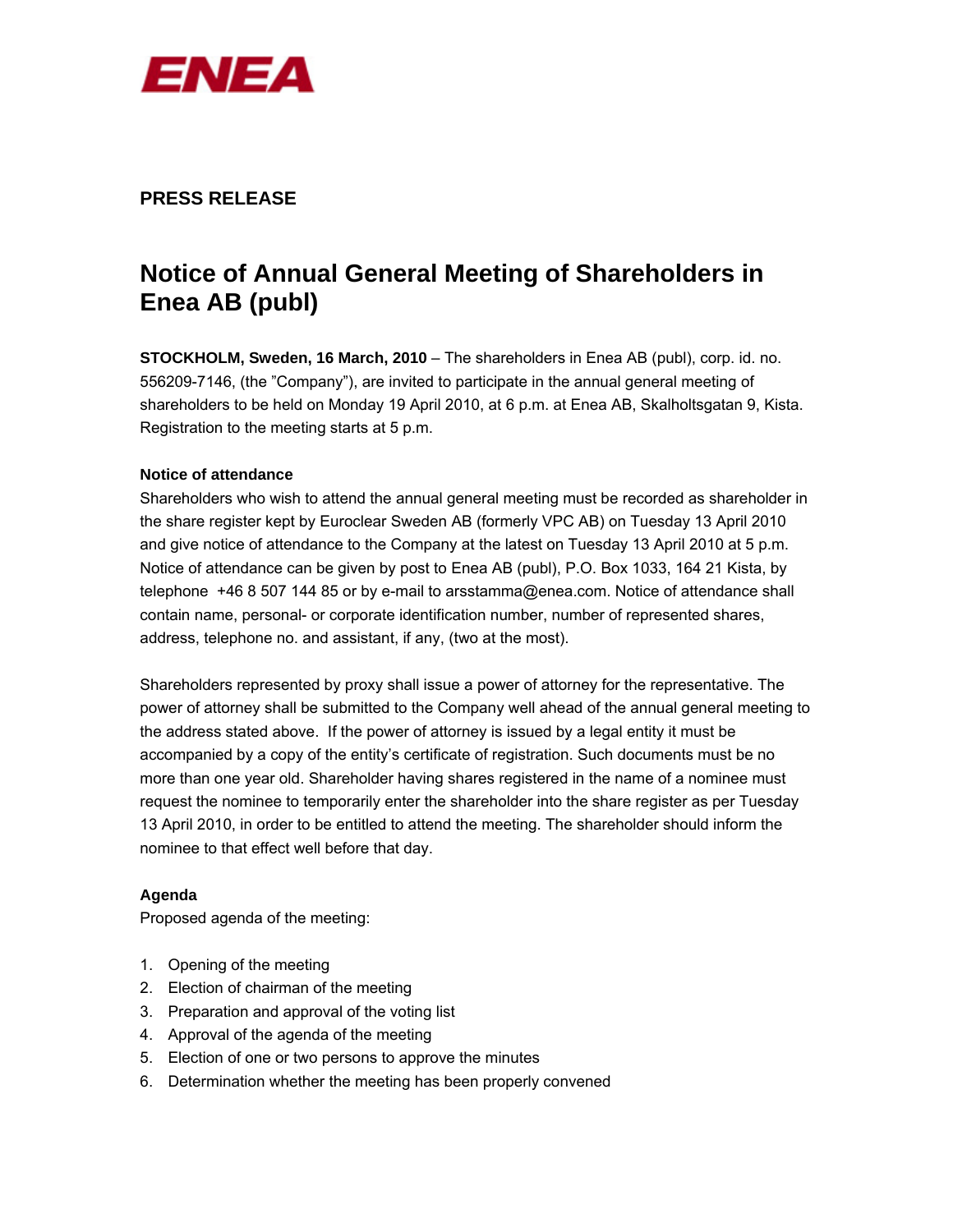

# **PRESS RELEASE**

# **Notice of Annual General Meeting of Shareholders in Enea AB (publ)**

**STOCKHOLM, Sweden, 16 March, 2010** – The shareholders in Enea AB (publ), corp. id. no. 556209-7146, (the "Company"), are invited to participate in the annual general meeting of shareholders to be held on Monday 19 April 2010, at 6 p.m. at Enea AB, Skalholtsgatan 9, Kista. Registration to the meeting starts at 5 p.m.

# **Notice of attendance**

Shareholders who wish to attend the annual general meeting must be recorded as shareholder in the share register kept by Euroclear Sweden AB (formerly VPC AB) on Tuesday 13 April 2010 and give notice of attendance to the Company at the latest on Tuesday 13 April 2010 at 5 p.m. Notice of attendance can be given by post to Enea AB (publ), P.O. Box 1033, 164 21 Kista, by telephone +46 8 507 144 85 or by e-mail to arsstamma@enea.com. Notice of attendance shall contain name, personal- or corporate identification number, number of represented shares, address, telephone no. and assistant, if any, (two at the most).

Shareholders represented by proxy shall issue a power of attorney for the representative. The power of attorney shall be submitted to the Company well ahead of the annual general meeting to the address stated above. If the power of attorney is issued by a legal entity it must be accompanied by a copy of the entity's certificate of registration. Such documents must be no more than one year old. Shareholder having shares registered in the name of a nominee must request the nominee to temporarily enter the shareholder into the share register as per Tuesday 13 April 2010, in order to be entitled to attend the meeting. The shareholder should inform the nominee to that effect well before that day.

# **Agenda**

Proposed agenda of the meeting:

- 1. Opening of the meeting
- 2. Election of chairman of the meeting
- 3. Preparation and approval of the voting list
- 4. Approval of the agenda of the meeting
- 5. Election of one or two persons to approve the minutes
- 6. Determination whether the meeting has been properly convened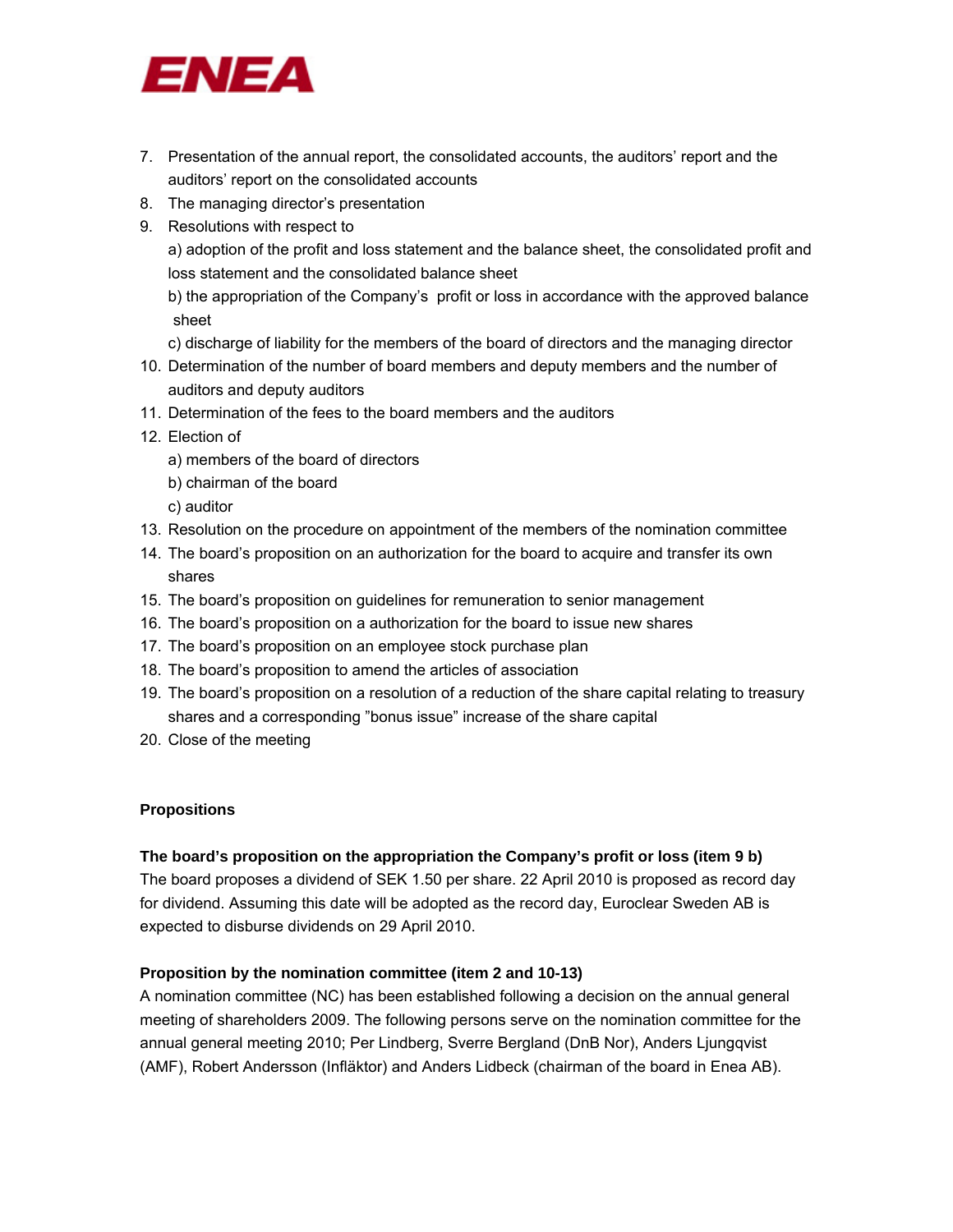

- 7. Presentation of the annual report, the consolidated accounts, the auditors' report and the auditors' report on the consolidated accounts
- 8. The managing director's presentation
- 9. Resolutions with respect to

a) adoption of the profit and loss statement and the balance sheet, the consolidated profit and loss statement and the consolidated balance sheet

 b) the appropriation of the Company's profit or loss in accordance with the approved balance sheet

- c) discharge of liability for the members of the board of directors and the managing director
- 10. Determination of the number of board members and deputy members and the number of auditors and deputy auditors
- 11. Determination of the fees to the board members and the auditors
- 12. Election of
	- a) members of the board of directors
	- b) chairman of the board
	- c) auditor
- 13. Resolution on the procedure on appointment of the members of the nomination committee
- 14. The board's proposition on an authorization for the board to acquire and transfer its own shares
- 15. The board's proposition on guidelines for remuneration to senior management
- 16. The board's proposition on a authorization for the board to issue new shares
- 17. The board's proposition on an employee stock purchase plan
- 18. The board's proposition to amend the articles of association
- 19. The board's proposition on a resolution of a reduction of the share capital relating to treasury shares and a corresponding "bonus issue" increase of the share capital
- 20. Close of the meeting

#### **Propositions**

#### **The board's proposition on the appropriation the Company's profit or loss (item 9 b)**

The board proposes a dividend of SEK 1.50 per share. 22 April 2010 is proposed as record day for dividend. Assuming this date will be adopted as the record day, Euroclear Sweden AB is expected to disburse dividends on 29 April 2010.

#### **Proposition by the nomination committee (item 2 and 10-13)**

A nomination committee (NC) has been established following a decision on the annual general meeting of shareholders 2009. The following persons serve on the nomination committee for the annual general meeting 2010; Per Lindberg, Sverre Bergland (DnB Nor), Anders Ljungqvist (AMF), Robert Andersson (Infläktor) and Anders Lidbeck (chairman of the board in Enea AB).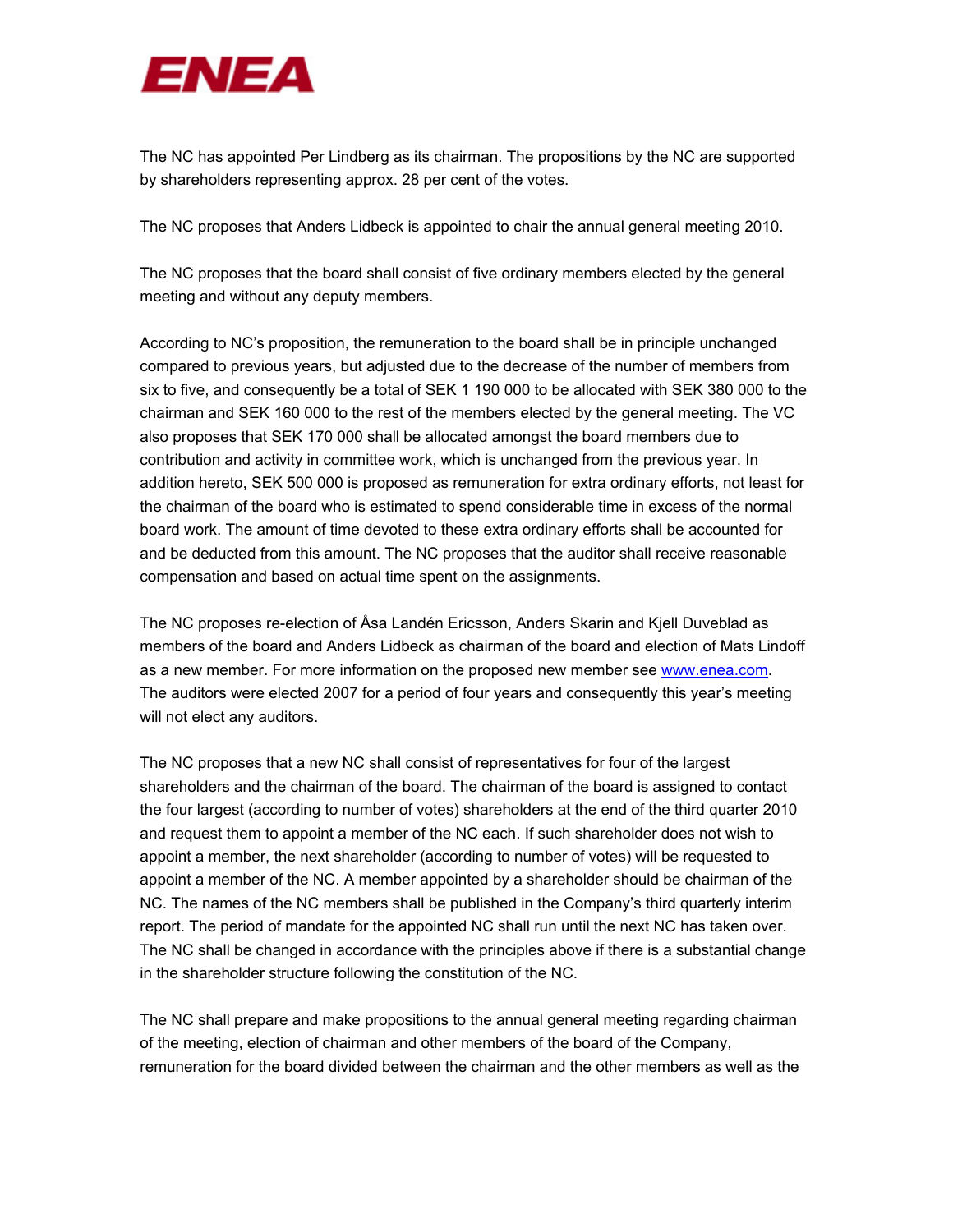

The NC has appointed Per Lindberg as its chairman. The propositions by the NC are supported by shareholders representing approx. 28 per cent of the votes.

The NC proposes that Anders Lidbeck is appointed to chair the annual general meeting 2010.

The NC proposes that the board shall consist of five ordinary members elected by the general meeting and without any deputy members.

According to NC's proposition, the remuneration to the board shall be in principle unchanged compared to previous years, but adjusted due to the decrease of the number of members from six to five, and consequently be a total of SEK 1 190 000 to be allocated with SEK 380 000 to the chairman and SEK 160 000 to the rest of the members elected by the general meeting. The VC also proposes that SEK 170 000 shall be allocated amongst the board members due to contribution and activity in committee work, which is unchanged from the previous year. In addition hereto, SEK 500 000 is proposed as remuneration for extra ordinary efforts, not least for the chairman of the board who is estimated to spend considerable time in excess of the normal board work. The amount of time devoted to these extra ordinary efforts shall be accounted for and be deducted from this amount. The NC proposes that the auditor shall receive reasonable compensation and based on actual time spent on the assignments.

The NC proposes re-election of Åsa Landén Ericsson, Anders Skarin and Kjell Duveblad as members of the board and Anders Lidbeck as chairman of the board and election of Mats Lindoff as a new member. For more information on the proposed new member see www.enea.com. The auditors were elected 2007 for a period of four years and consequently this year's meeting will not elect any auditors.

The NC proposes that a new NC shall consist of representatives for four of the largest shareholders and the chairman of the board. The chairman of the board is assigned to contact the four largest (according to number of votes) shareholders at the end of the third quarter 2010 and request them to appoint a member of the NC each. If such shareholder does not wish to appoint a member, the next shareholder (according to number of votes) will be requested to appoint a member of the NC. A member appointed by a shareholder should be chairman of the NC. The names of the NC members shall be published in the Company's third quarterly interim report. The period of mandate for the appointed NC shall run until the next NC has taken over. The NC shall be changed in accordance with the principles above if there is a substantial change in the shareholder structure following the constitution of the NC.

The NC shall prepare and make propositions to the annual general meeting regarding chairman of the meeting, election of chairman and other members of the board of the Company, remuneration for the board divided between the chairman and the other members as well as the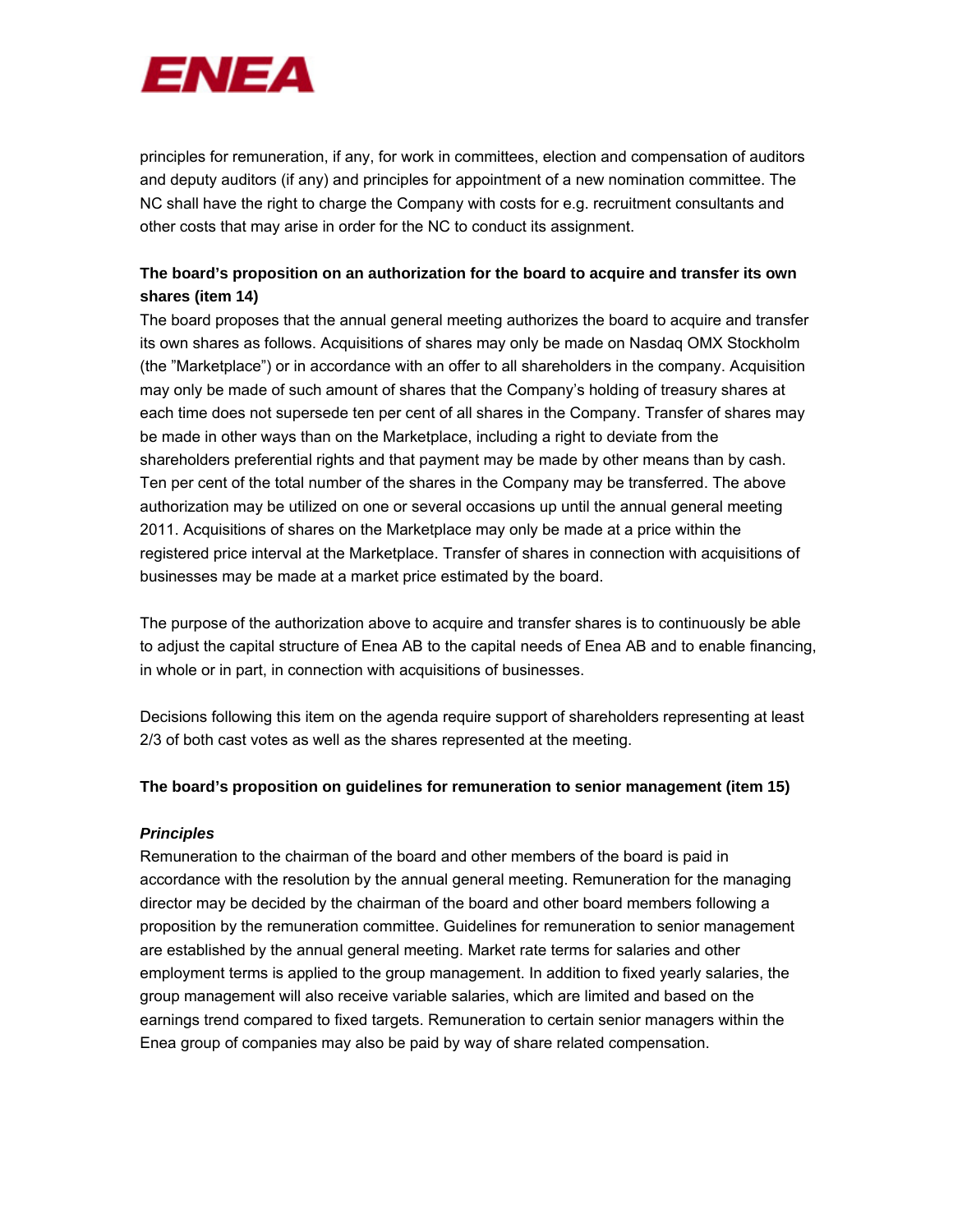

principles for remuneration, if any, for work in committees, election and compensation of auditors and deputy auditors (if any) and principles for appointment of a new nomination committee. The NC shall have the right to charge the Company with costs for e.g. recruitment consultants and other costs that may arise in order for the NC to conduct its assignment.

# **The board's proposition on an authorization for the board to acquire and transfer its own shares (item 14)**

The board proposes that the annual general meeting authorizes the board to acquire and transfer its own shares as follows. Acquisitions of shares may only be made on Nasdaq OMX Stockholm (the "Marketplace") or in accordance with an offer to all shareholders in the company. Acquisition may only be made of such amount of shares that the Company's holding of treasury shares at each time does not supersede ten per cent of all shares in the Company. Transfer of shares may be made in other ways than on the Marketplace, including a right to deviate from the shareholders preferential rights and that payment may be made by other means than by cash. Ten per cent of the total number of the shares in the Company may be transferred. The above authorization may be utilized on one or several occasions up until the annual general meeting 2011. Acquisitions of shares on the Marketplace may only be made at a price within the registered price interval at the Marketplace. Transfer of shares in connection with acquisitions of businesses may be made at a market price estimated by the board.

The purpose of the authorization above to acquire and transfer shares is to continuously be able to adjust the capital structure of Enea AB to the capital needs of Enea AB and to enable financing, in whole or in part, in connection with acquisitions of businesses.

Decisions following this item on the agenda require support of shareholders representing at least 2/3 of both cast votes as well as the shares represented at the meeting.

# **The board's proposition on guidelines for remuneration to senior management (item 15)**

# *Principles*

Remuneration to the chairman of the board and other members of the board is paid in accordance with the resolution by the annual general meeting. Remuneration for the managing director may be decided by the chairman of the board and other board members following a proposition by the remuneration committee. Guidelines for remuneration to senior management are established by the annual general meeting. Market rate terms for salaries and other employment terms is applied to the group management. In addition to fixed yearly salaries, the group management will also receive variable salaries, which are limited and based on the earnings trend compared to fixed targets. Remuneration to certain senior managers within the Enea group of companies may also be paid by way of share related compensation.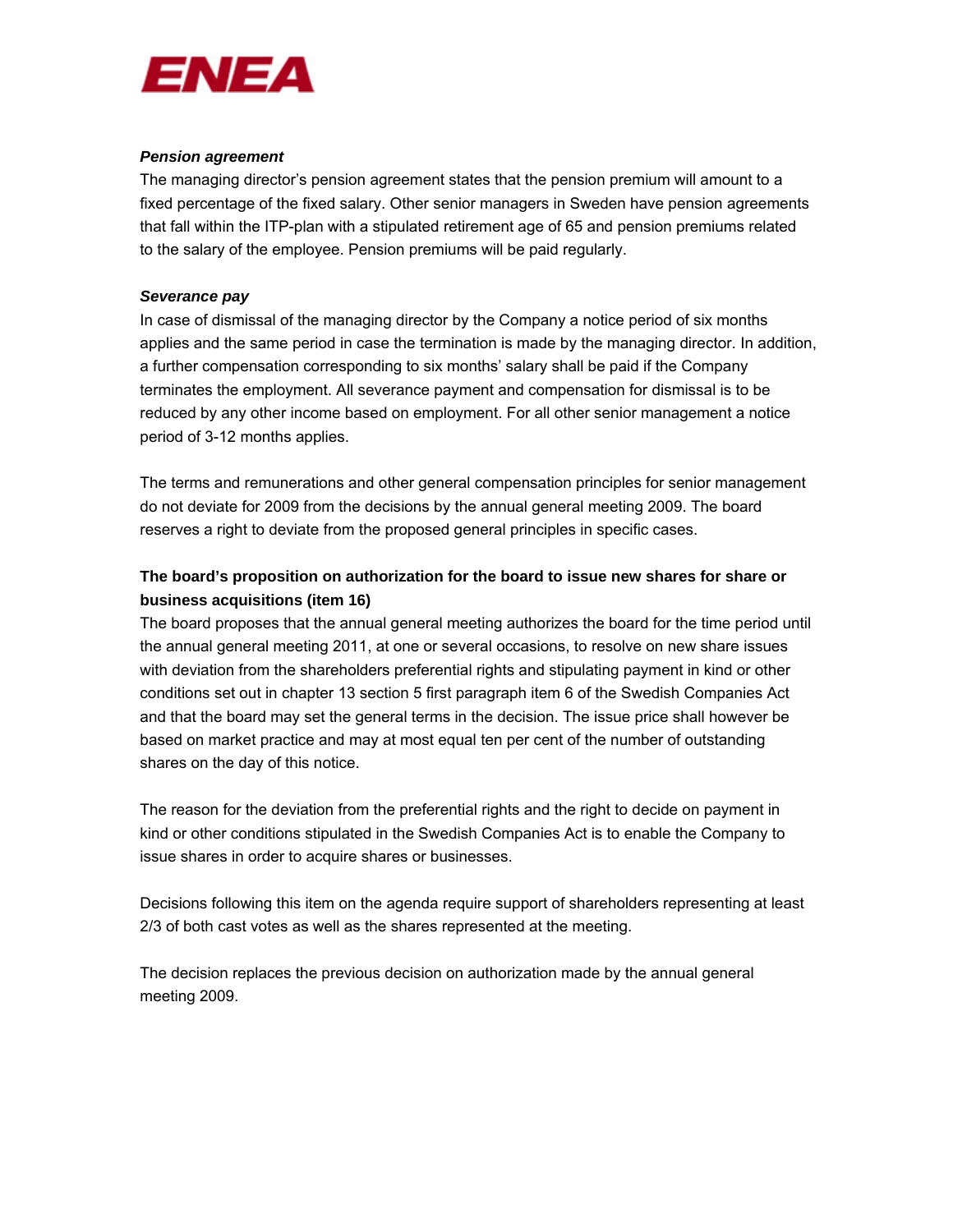

#### *Pension agreement*

The managing director's pension agreement states that the pension premium will amount to a fixed percentage of the fixed salary. Other senior managers in Sweden have pension agreements that fall within the ITP-plan with a stipulated retirement age of 65 and pension premiums related to the salary of the employee. Pension premiums will be paid regularly.

## *Severance pay*

In case of dismissal of the managing director by the Company a notice period of six months applies and the same period in case the termination is made by the managing director. In addition, a further compensation corresponding to six months' salary shall be paid if the Company terminates the employment. All severance payment and compensation for dismissal is to be reduced by any other income based on employment. For all other senior management a notice period of 3-12 months applies.

The terms and remunerations and other general compensation principles for senior management do not deviate for 2009 from the decisions by the annual general meeting 2009. The board reserves a right to deviate from the proposed general principles in specific cases.

# **The board's proposition on authorization for the board to issue new shares for share or business acquisitions (item 16)**

The board proposes that the annual general meeting authorizes the board for the time period until the annual general meeting 2011, at one or several occasions, to resolve on new share issues with deviation from the shareholders preferential rights and stipulating payment in kind or other conditions set out in chapter 13 section 5 first paragraph item 6 of the Swedish Companies Act and that the board may set the general terms in the decision. The issue price shall however be based on market practice and may at most equal ten per cent of the number of outstanding shares on the day of this notice.

The reason for the deviation from the preferential rights and the right to decide on payment in kind or other conditions stipulated in the Swedish Companies Act is to enable the Company to issue shares in order to acquire shares or businesses.

Decisions following this item on the agenda require support of shareholders representing at least 2/3 of both cast votes as well as the shares represented at the meeting.

The decision replaces the previous decision on authorization made by the annual general meeting 2009.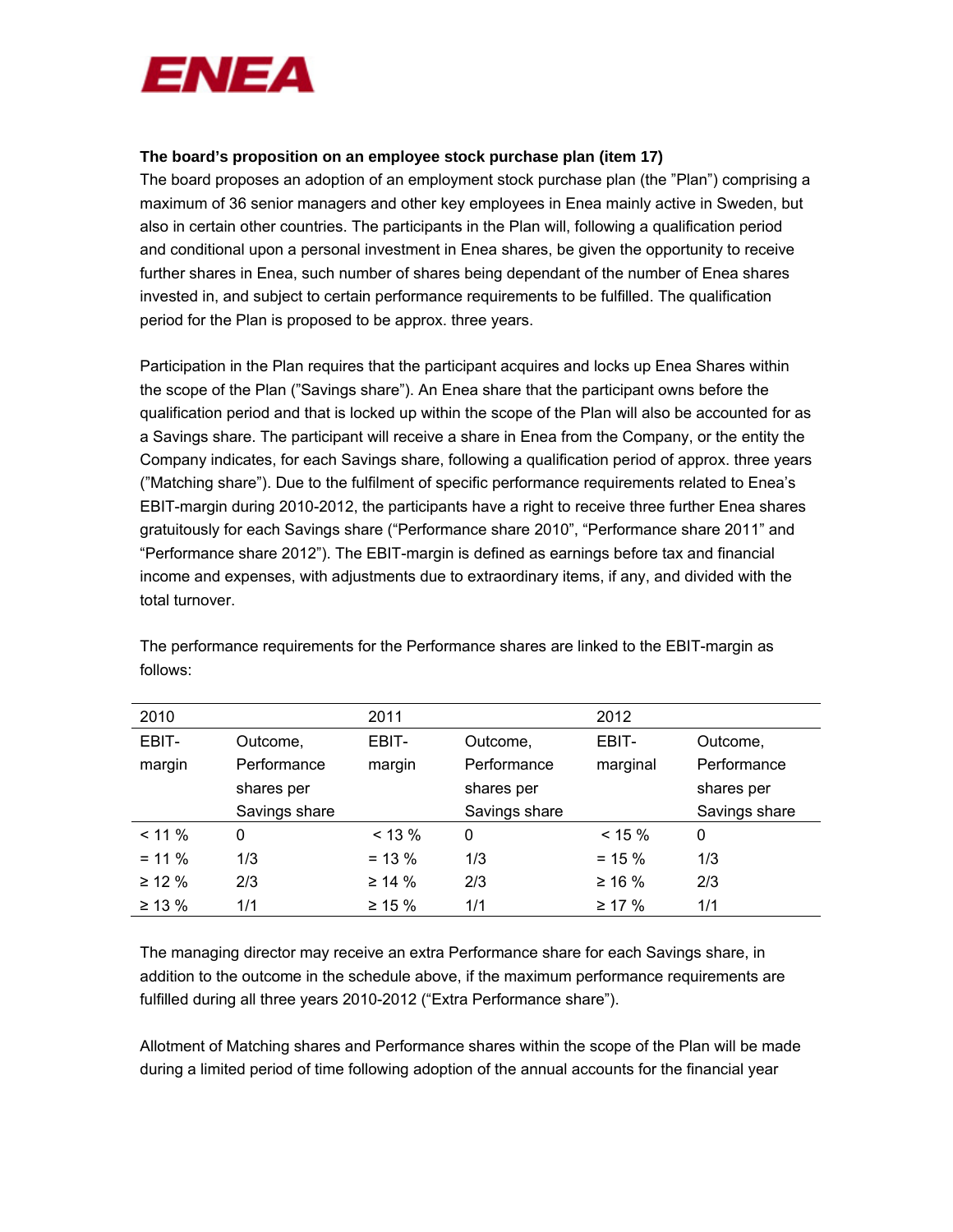

#### **The board's proposition on an employee stock purchase plan (item 17)**

The board proposes an adoption of an employment stock purchase plan (the "Plan") comprising a maximum of 36 senior managers and other key employees in Enea mainly active in Sweden, but also in certain other countries. The participants in the Plan will, following a qualification period and conditional upon a personal investment in Enea shares, be given the opportunity to receive further shares in Enea, such number of shares being dependant of the number of Enea shares invested in, and subject to certain performance requirements to be fulfilled. The qualification period for the Plan is proposed to be approx. three years.

Participation in the Plan requires that the participant acquires and locks up Enea Shares within the scope of the Plan ("Savings share"). An Enea share that the participant owns before the qualification period and that is locked up within the scope of the Plan will also be accounted for as a Savings share. The participant will receive a share in Enea from the Company, or the entity the Company indicates, for each Savings share, following a qualification period of approx. three years ("Matching share"). Due to the fulfilment of specific performance requirements related to Enea's EBIT-margin during 2010-2012, the participants have a right to receive three further Enea shares gratuitously for each Savings share ("Performance share 2010", "Performance share 2011" and "Performance share 2012"). The EBIT-margin is defined as earnings before tax and financial income and expenses, with adjustments due to extraordinary items, if any, and divided with the total turnover.

| 2010         |               | 2011         |               | 2012         |               |
|--------------|---------------|--------------|---------------|--------------|---------------|
| EBIT-        | Outcome,      | EBIT-        | Outcome,      | EBIT-        | Outcome,      |
| margin       | Performance   | margin       | Performance   | marginal     | Performance   |
|              | shares per    |              | shares per    |              | shares per    |
|              | Savings share |              | Savings share |              | Savings share |
| $< 11 \%$    | $\Omega$      | $< 13 \%$    | 0             | $< 15 \%$    | 0             |
| $= 11 \%$    | 1/3           | $= 13 \%$    | 1/3           | $= 15 \%$    | 1/3           |
| $\geq$ 12 %  | 2/3           | $\geq 14 \%$ | 2/3           | $\geq 16 \%$ | 2/3           |
| $\geq 13 \%$ | 1/1           | $\geq 15 \%$ | 1/1           | $\geq$ 17 %  | 1/1           |

The performance requirements for the Performance shares are linked to the EBIT-margin as follows:

The managing director may receive an extra Performance share for each Savings share, in addition to the outcome in the schedule above, if the maximum performance requirements are fulfilled during all three years 2010-2012 ("Extra Performance share").

Allotment of Matching shares and Performance shares within the scope of the Plan will be made during a limited period of time following adoption of the annual accounts for the financial year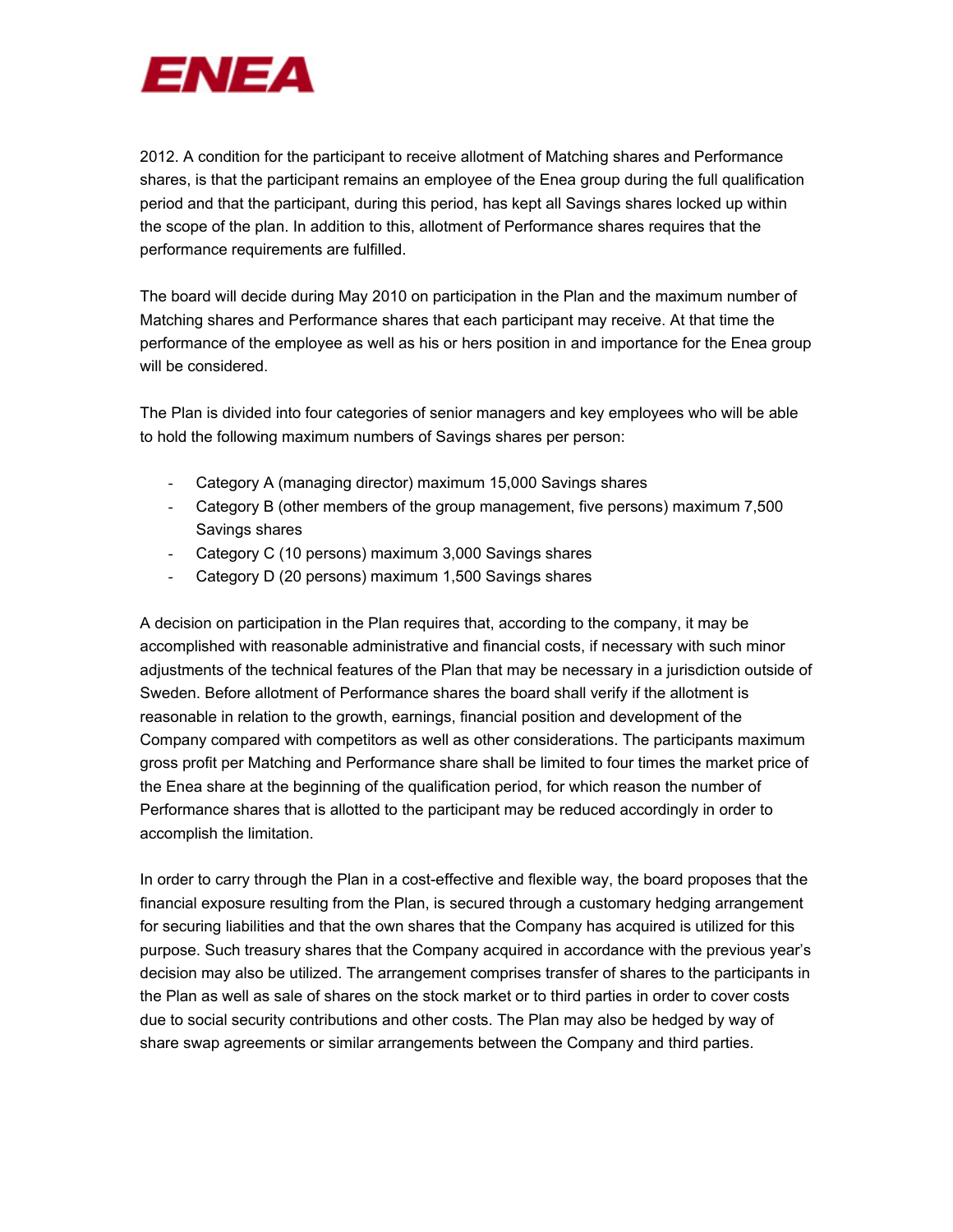

2012. A condition for the participant to receive allotment of Matching shares and Performance shares, is that the participant remains an employee of the Enea group during the full qualification period and that the participant, during this period, has kept all Savings shares locked up within the scope of the plan. In addition to this, allotment of Performance shares requires that the performance requirements are fulfilled.

The board will decide during May 2010 on participation in the Plan and the maximum number of Matching shares and Performance shares that each participant may receive. At that time the performance of the employee as well as his or hers position in and importance for the Enea group will be considered.

The Plan is divided into four categories of senior managers and key employees who will be able to hold the following maximum numbers of Savings shares per person:

- Category A (managing director) maximum 15,000 Savings shares
- Category B (other members of the group management, five persons) maximum 7,500 Savings shares
- Category C (10 persons) maximum 3,000 Savings shares
- Category D (20 persons) maximum 1,500 Savings shares

A decision on participation in the Plan requires that, according to the company, it may be accomplished with reasonable administrative and financial costs, if necessary with such minor adjustments of the technical features of the Plan that may be necessary in a jurisdiction outside of Sweden. Before allotment of Performance shares the board shall verify if the allotment is reasonable in relation to the growth, earnings, financial position and development of the Company compared with competitors as well as other considerations. The participants maximum gross profit per Matching and Performance share shall be limited to four times the market price of the Enea share at the beginning of the qualification period, for which reason the number of Performance shares that is allotted to the participant may be reduced accordingly in order to accomplish the limitation.

In order to carry through the Plan in a cost-effective and flexible way, the board proposes that the financial exposure resulting from the Plan, is secured through a customary hedging arrangement for securing liabilities and that the own shares that the Company has acquired is utilized for this purpose. Such treasury shares that the Company acquired in accordance with the previous year's decision may also be utilized. The arrangement comprises transfer of shares to the participants in the Plan as well as sale of shares on the stock market or to third parties in order to cover costs due to social security contributions and other costs. The Plan may also be hedged by way of share swap agreements or similar arrangements between the Company and third parties.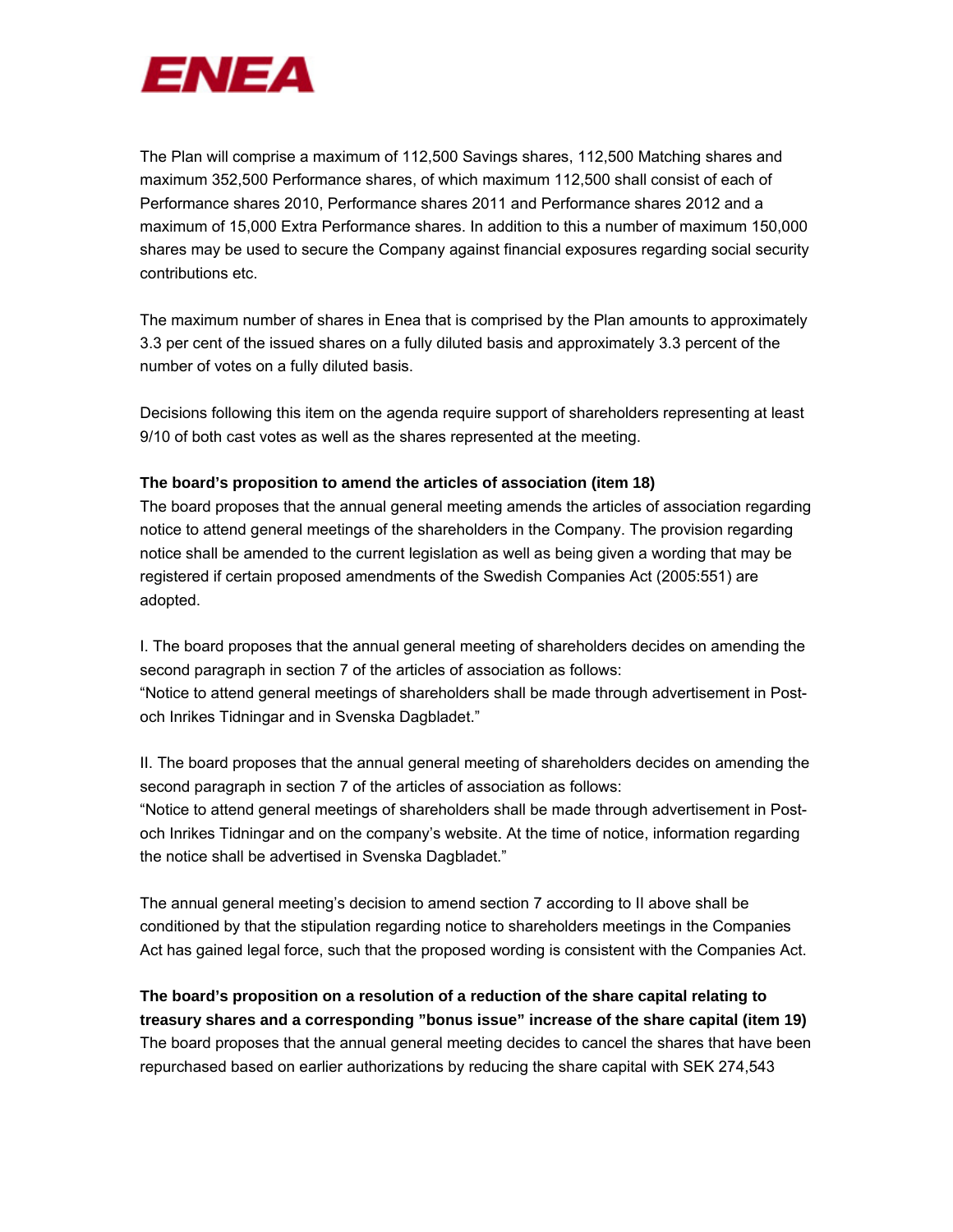

The Plan will comprise a maximum of 112,500 Savings shares, 112,500 Matching shares and maximum 352,500 Performance shares, of which maximum 112,500 shall consist of each of Performance shares 2010, Performance shares 2011 and Performance shares 2012 and a maximum of 15,000 Extra Performance shares. In addition to this a number of maximum 150,000 shares may be used to secure the Company against financial exposures regarding social security contributions etc.

The maximum number of shares in Enea that is comprised by the Plan amounts to approximately 3.3 per cent of the issued shares on a fully diluted basis and approximately 3.3 percent of the number of votes on a fully diluted basis.

Decisions following this item on the agenda require support of shareholders representing at least 9/10 of both cast votes as well as the shares represented at the meeting.

# **The board's proposition to amend the articles of association (item 18)**

The board proposes that the annual general meeting amends the articles of association regarding notice to attend general meetings of the shareholders in the Company. The provision regarding notice shall be amended to the current legislation as well as being given a wording that may be registered if certain proposed amendments of the Swedish Companies Act (2005:551) are adopted.

I. The board proposes that the annual general meeting of shareholders decides on amending the second paragraph in section 7 of the articles of association as follows: "Notice to attend general meetings of shareholders shall be made through advertisement in Postoch Inrikes Tidningar and in Svenska Dagbladet."

II. The board proposes that the annual general meeting of shareholders decides on amending the second paragraph in section 7 of the articles of association as follows:

"Notice to attend general meetings of shareholders shall be made through advertisement in Postoch Inrikes Tidningar and on the company's website. At the time of notice, information regarding the notice shall be advertised in Svenska Dagbladet."

The annual general meeting's decision to amend section 7 according to II above shall be conditioned by that the stipulation regarding notice to shareholders meetings in the Companies Act has gained legal force, such that the proposed wording is consistent with the Companies Act.

**The board's proposition on a resolution of a reduction of the share capital relating to treasury shares and a corresponding "bonus issue" increase of the share capital (item 19)**  The board proposes that the annual general meeting decides to cancel the shares that have been repurchased based on earlier authorizations by reducing the share capital with SEK 274,543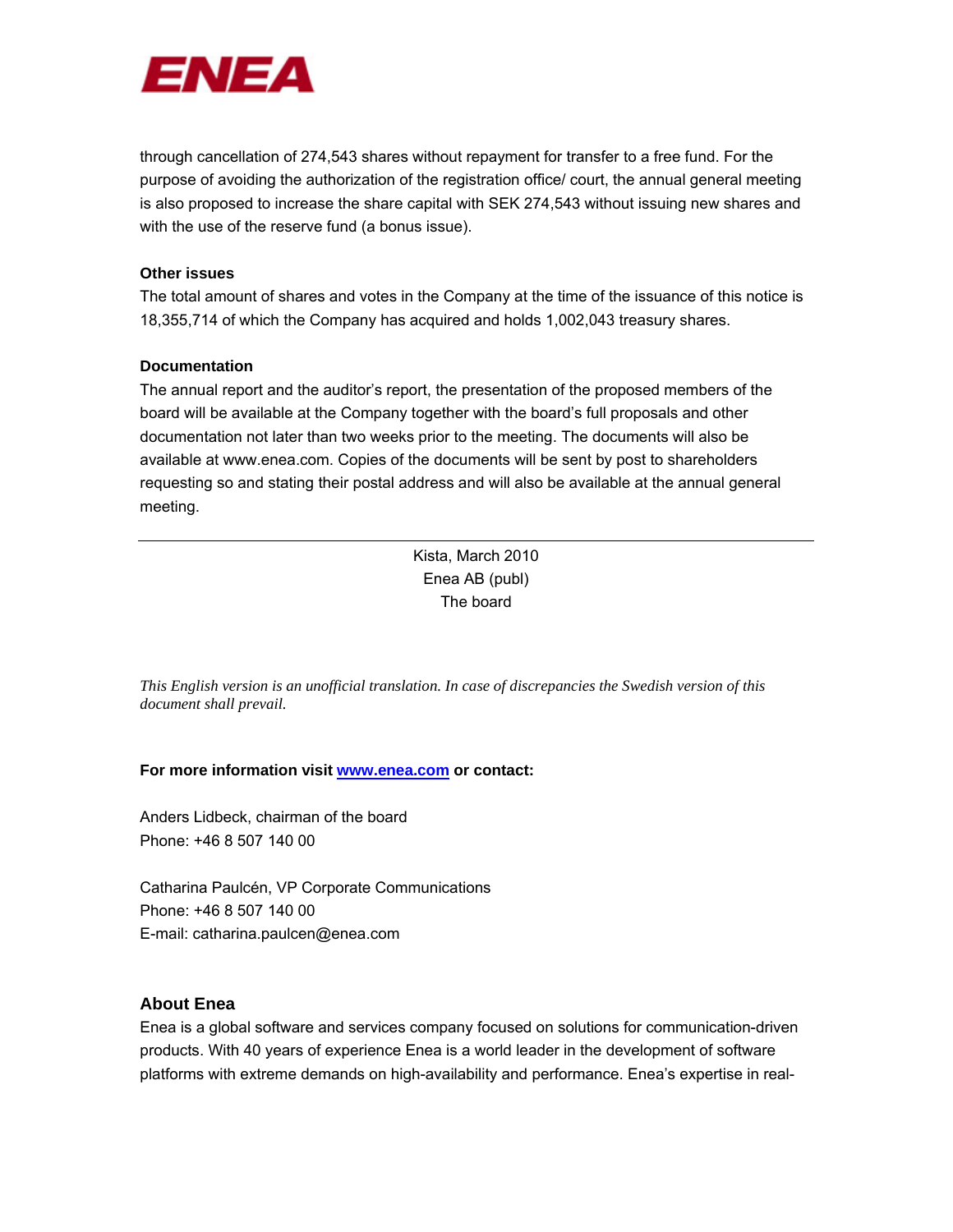

through cancellation of 274,543 shares without repayment for transfer to a free fund. For the purpose of avoiding the authorization of the registration office/ court, the annual general meeting is also proposed to increase the share capital with SEK 274,543 without issuing new shares and with the use of the reserve fund (a bonus issue).

## **Other issues**

The total amount of shares and votes in the Company at the time of the issuance of this notice is 18,355,714 of which the Company has acquired and holds 1,002,043 treasury shares.

#### **Documentation**

The annual report and the auditor's report, the presentation of the proposed members of the board will be available at the Company together with the board's full proposals and other documentation not later than two weeks prior to the meeting. The documents will also be available at www.enea.com. Copies of the documents will be sent by post to shareholders requesting so and stating their postal address and will also be available at the annual general meeting.

> Kista, March 2010 Enea AB (publ) The board

*This English version is an unofficial translation. In case of discrepancies the Swedish version of this document shall prevail.* 

## **For more information visit www.enea.com or contact:**

Anders Lidbeck, chairman of the board Phone: +46 8 507 140 00

Catharina Paulcén, VP Corporate Communications Phone: +46 8 507 140 00 E-mail: catharina.paulcen@enea.com

# **About Enea**

Enea is a global software and services company focused on solutions for communication-driven products. With 40 years of experience Enea is a world leader in the development of software platforms with extreme demands on high-availability and performance. Enea's expertise in real-